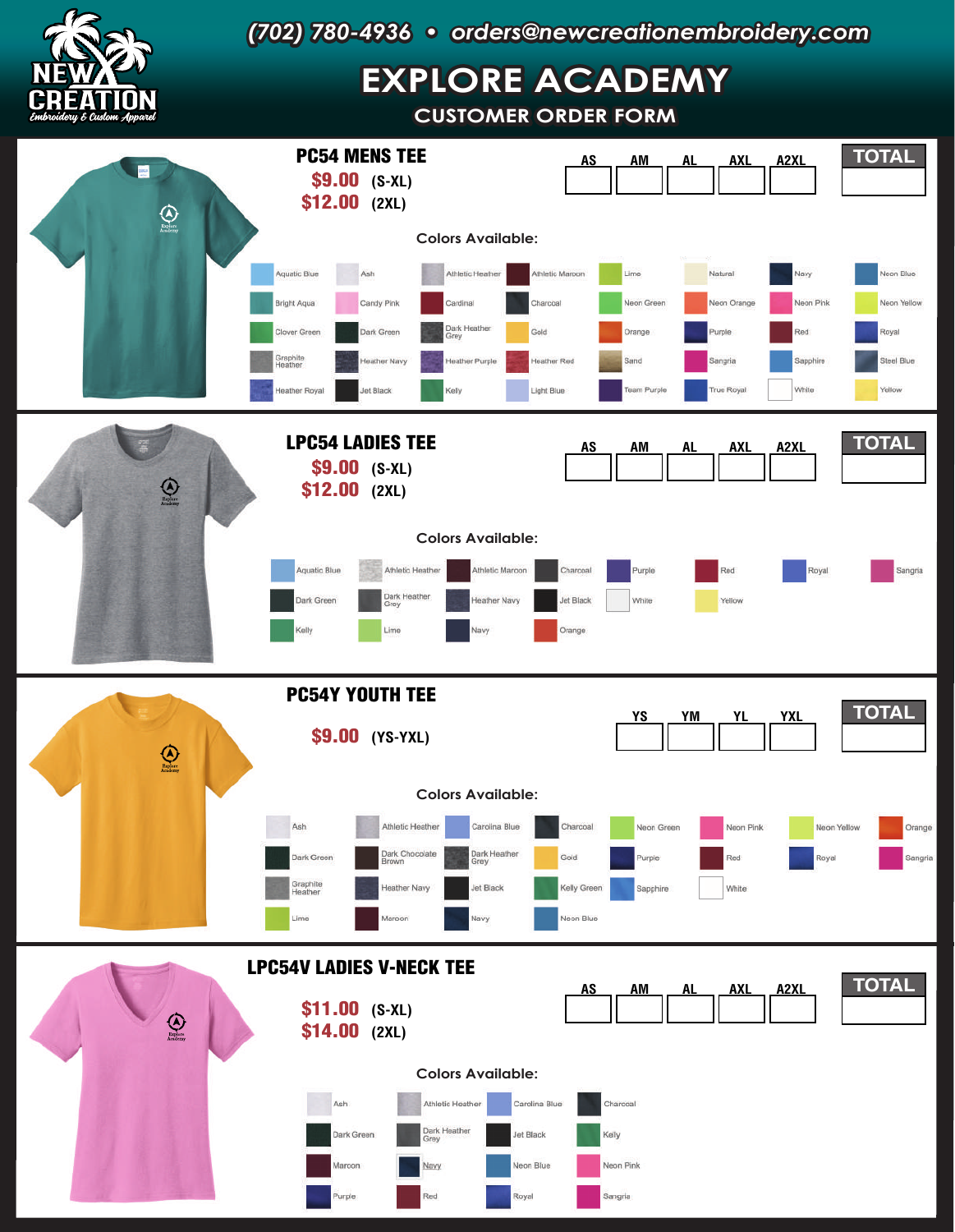

## *(702) 780-4936 • orders@newcreationembroidery.com*

## **EXPLORE ACADEMY**

**CUSTOMER ORDER FORM**

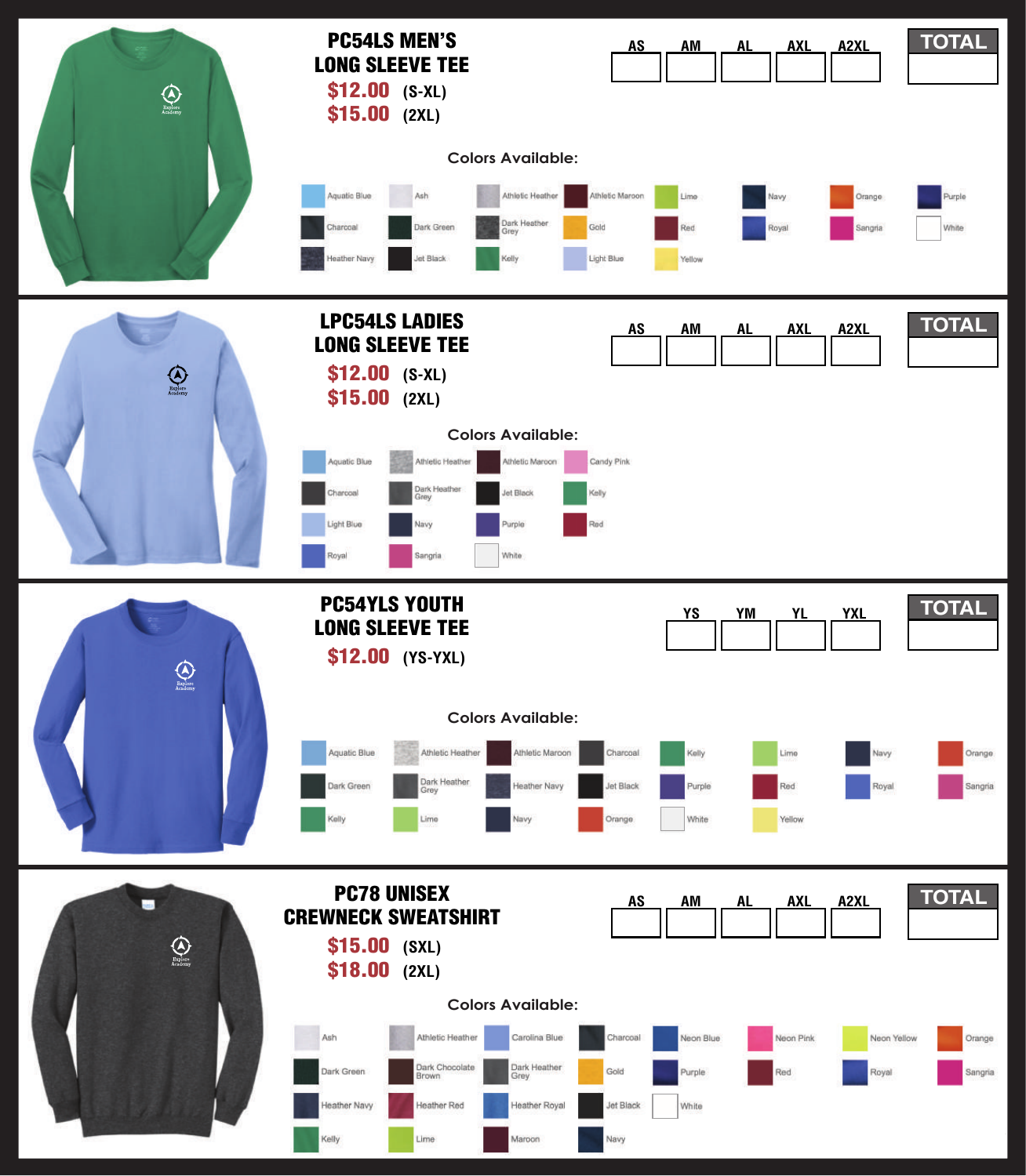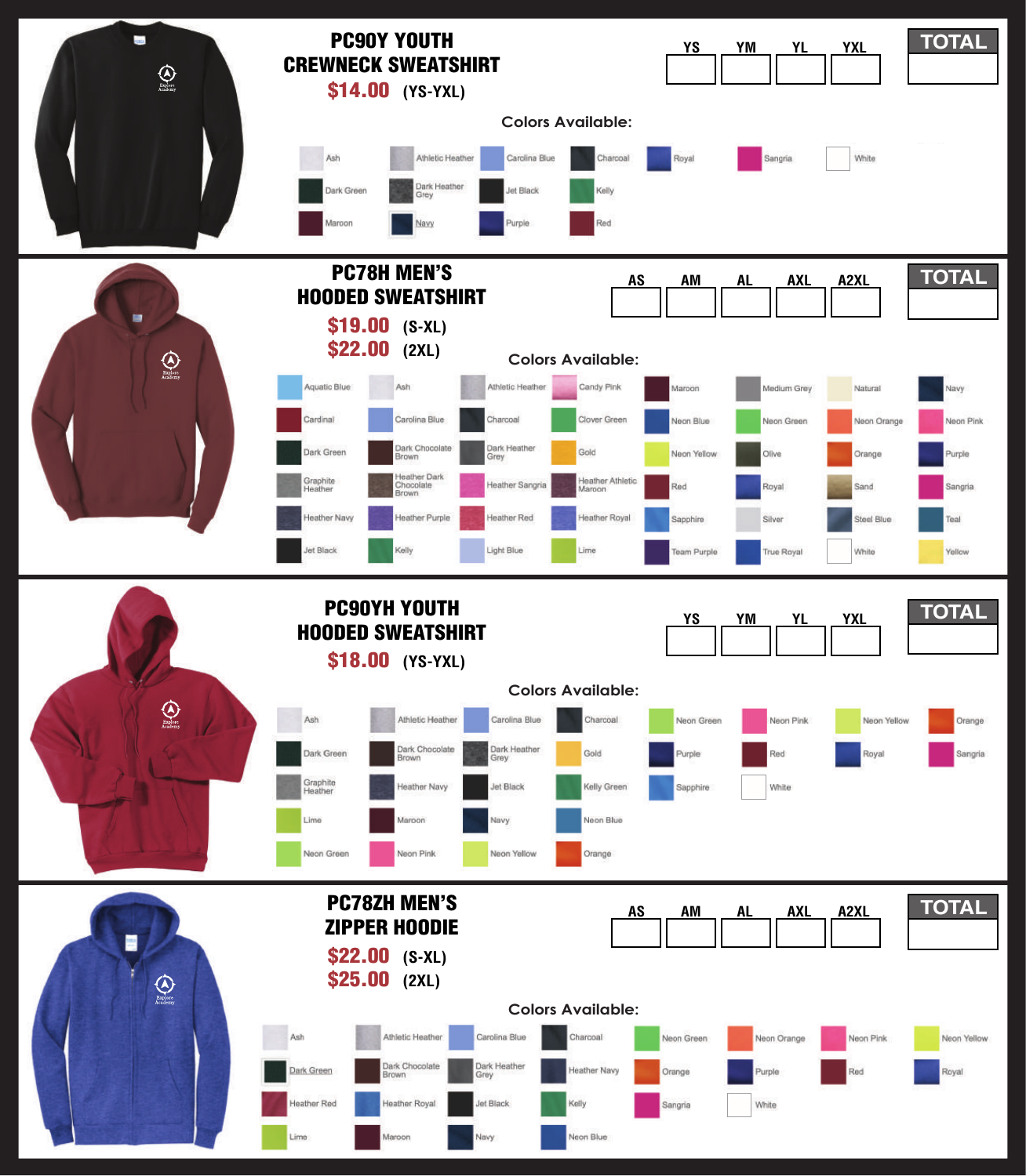